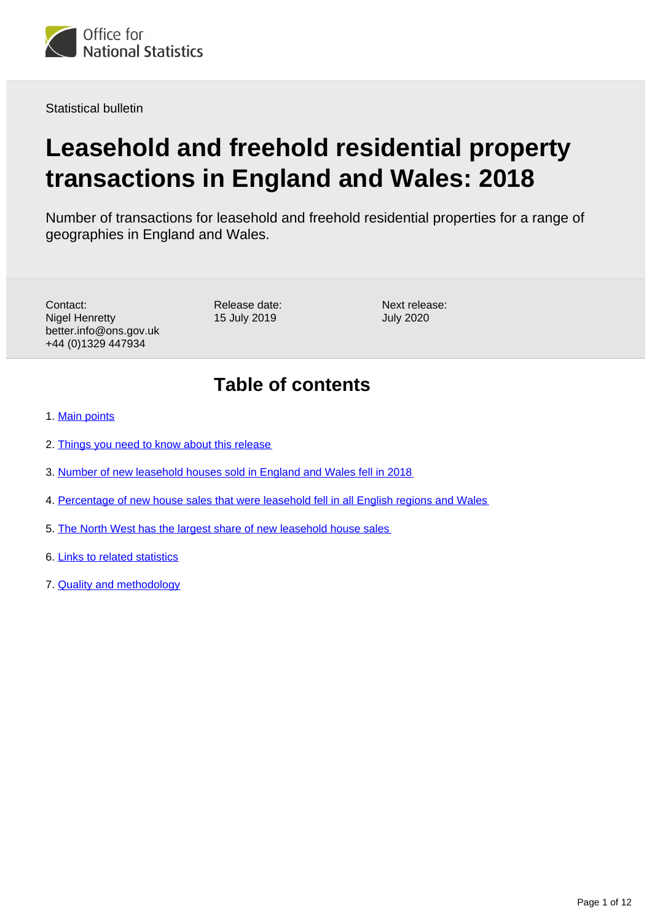

Statistical bulletin

# **Leasehold and freehold residential property transactions in England and Wales: 2018**

Number of transactions for leasehold and freehold residential properties for a range of geographies in England and Wales.

Contact: Nigel Henretty better.info@ons.gov.uk +44 (0)1329 447934

Release date: 15 July 2019

Next release: July 2020

# **Table of contents**

- 1. [Main points](#page-1-0)
- 2. [Things you need to know about this release](#page-1-1)
- 3. [Number of new leasehold houses sold in England and Wales fell in 2018](#page-3-0)
- 4. [Percentage of new house sales that were leasehold fell in all English regions and Wales](#page-6-0)
- 5. [The North West has the largest share of new leasehold house sales](#page-9-0)
- 6. [Links to related statistics](#page-10-0)
- 7. [Quality and methodology](#page-11-0)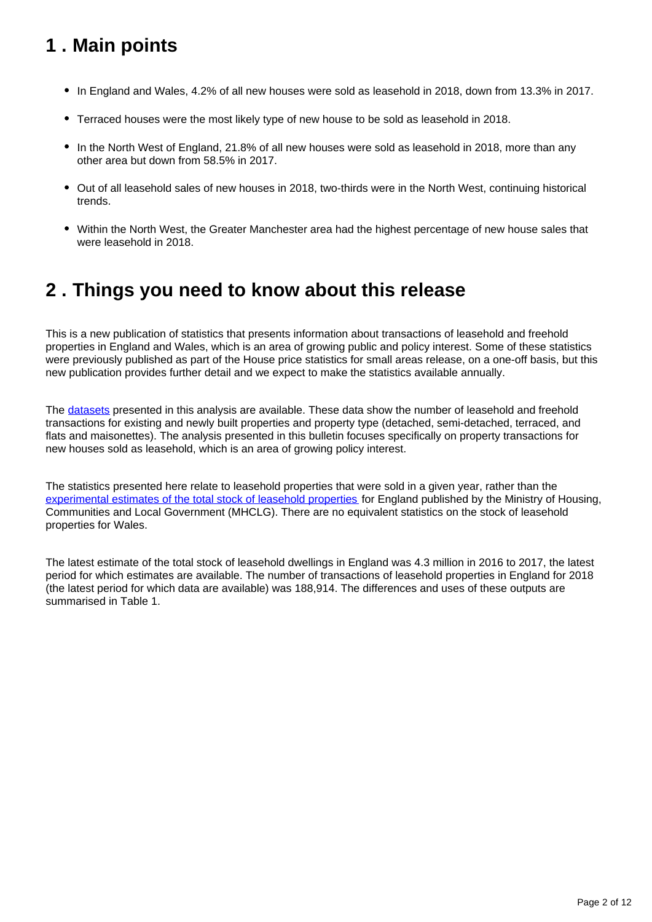# <span id="page-1-0"></span>**1 . Main points**

- In England and Wales, 4.2% of all new houses were sold as leasehold in 2018, down from 13.3% in 2017.
- Terraced houses were the most likely type of new house to be sold as leasehold in 2018.
- In the North West of England, 21.8% of all new houses were sold as leasehold in 2018, more than any other area but down from 58.5% in 2017.
- Out of all leasehold sales of new houses in 2018, two-thirds were in the North West, continuing historical trends.
- Within the North West, the Greater Manchester area had the highest percentage of new house sales that were leasehold in 2018.

# <span id="page-1-1"></span>**2 . Things you need to know about this release**

This is a new publication of statistics that presents information about transactions of leasehold and freehold properties in England and Wales, which is an area of growing public and policy interest. Some of these statistics were previously published as part of the House price statistics for small areas release, on a one-off basis, but this new publication provides further detail and we expect to make the statistics available annually.

The [datasets](https://www.ons.gov.uk/peoplepopulationandcommunity/housing/bulletins/leaseholdandfreeholdresidentialpropertytransactionsinenglandandwales/2018/relateddata) presented in this analysis are available. These data show the number of leasehold and freehold transactions for existing and newly built properties and property type (detached, semi-detached, terraced, and flats and maisonettes). The analysis presented in this bulletin focuses specifically on property transactions for new houses sold as leasehold, which is an area of growing policy interest.

The statistics presented here relate to leasehold properties that were sold in a given year, rather than the [experimental estimates of the total stock of leasehold properties](https://www.gov.uk/government/collections/leasehold-dwellings) for England published by the Ministry of Housing, Communities and Local Government (MHCLG). There are no equivalent statistics on the stock of leasehold properties for Wales.

The latest estimate of the total stock of leasehold dwellings in England was 4.3 million in 2016 to 2017, the latest period for which estimates are available. The number of transactions of leasehold properties in England for 2018 (the latest period for which data are available) was 188,914. The differences and uses of these outputs are summarised in Table 1.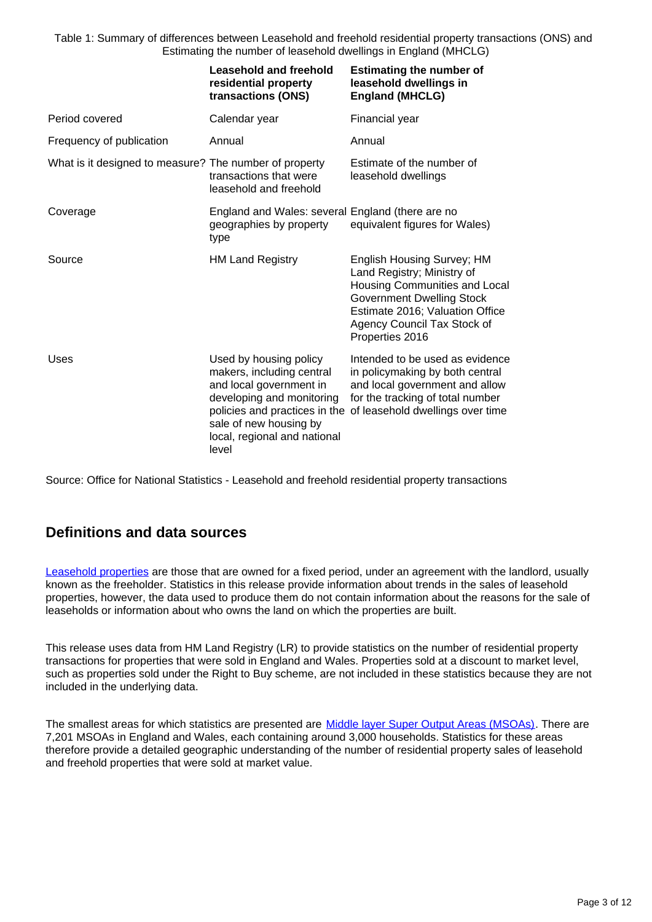Table 1: Summary of differences between Leasehold and freehold residential property transactions (ONS) and Estimating the number of leasehold dwellings in England (MHCLG)

|                                                        | <b>Leasehold and freehold</b><br>residential property<br>transactions (ONS)                                                                                                    | <b>Estimating the number of</b><br>leasehold dwellings in<br><b>England (MHCLG)</b>                                                                                                                                |
|--------------------------------------------------------|--------------------------------------------------------------------------------------------------------------------------------------------------------------------------------|--------------------------------------------------------------------------------------------------------------------------------------------------------------------------------------------------------------------|
| Period covered                                         | Calendar year                                                                                                                                                                  | Financial year                                                                                                                                                                                                     |
| Frequency of publication                               | Annual                                                                                                                                                                         | Annual                                                                                                                                                                                                             |
| What is it designed to measure? The number of property | transactions that were<br>leasehold and freehold                                                                                                                               | Estimate of the number of<br>leasehold dwellings                                                                                                                                                                   |
| Coverage                                               | England and Wales: several England (there are no<br>geographies by property<br>type                                                                                            | equivalent figures for Wales)                                                                                                                                                                                      |
| Source                                                 | <b>HM Land Registry</b>                                                                                                                                                        | English Housing Survey; HM<br>Land Registry; Ministry of<br>Housing Communities and Local<br><b>Government Dwelling Stock</b><br>Estimate 2016; Valuation Office<br>Agency Council Tax Stock of<br>Properties 2016 |
| Uses                                                   | Used by housing policy<br>makers, including central<br>and local government in<br>developing and monitoring<br>sale of new housing by<br>local, regional and national<br>level | Intended to be used as evidence<br>in policymaking by both central<br>and local government and allow<br>for the tracking of total number<br>policies and practices in the of leasehold dwellings over time         |

Source: Office for National Statistics - Leasehold and freehold residential property transactions

### **Definitions and data sources**

[Leasehold properties](https://www.gov.uk/leasehold-property) are those that are owned for a fixed period, under an agreement with the landlord, usually known as the freeholder. Statistics in this release provide information about trends in the sales of leasehold properties, however, the data used to produce them do not contain information about the reasons for the sale of leaseholds or information about who owns the land on which the properties are built.

This release uses data from HM Land Registry (LR) to provide statistics on the number of residential property transactions for properties that were sold in England and Wales. Properties sold at a discount to market level, such as properties sold under the Right to Buy scheme, are not included in these statistics because they are not included in the underlying data.

The smallest areas for which statistics are presented are [Middle layer Super Output Areas \(MSOAs\).](https://www.ons.gov.uk/methodology/geography/ukgeographies/censusgeography/) There are 7,201 MSOAs in England and Wales, each containing around 3,000 households. Statistics for these areas therefore provide a detailed geographic understanding of the number of residential property sales of leasehold and freehold properties that were sold at market value.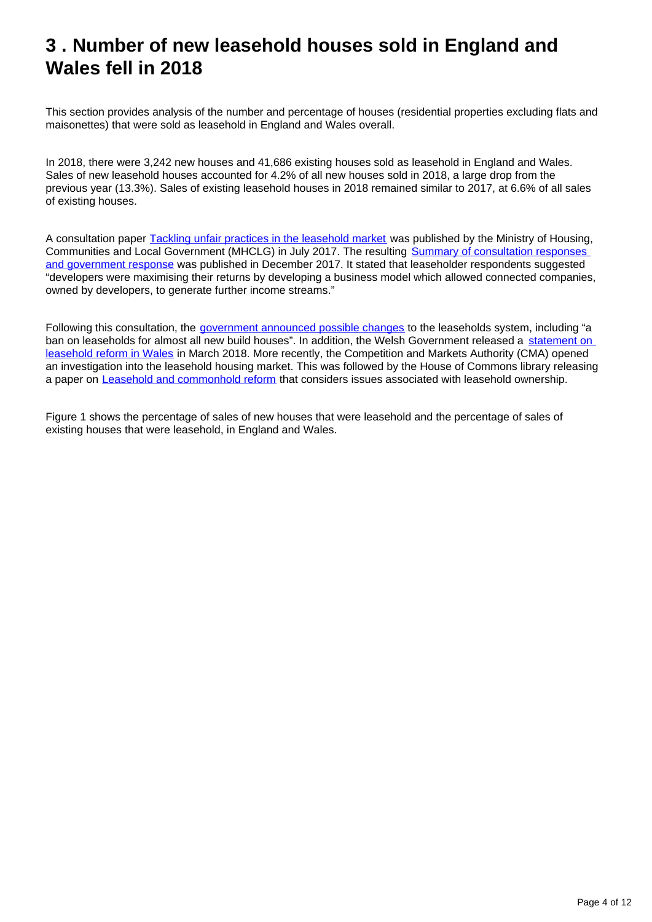# <span id="page-3-0"></span>**3 . Number of new leasehold houses sold in England and Wales fell in 2018**

This section provides analysis of the number and percentage of houses (residential properties excluding flats and maisonettes) that were sold as leasehold in England and Wales overall.

In 2018, there were 3,242 new houses and 41,686 existing houses sold as leasehold in England and Wales. Sales of new leasehold houses accounted for 4.2% of all new houses sold in 2018, a large drop from the previous year (13.3%). Sales of existing leasehold houses in 2018 remained similar to 2017, at 6.6% of all sales of existing houses.

A consultation paper [Tackling unfair practices in the leasehold market](https://assets.publishing.service.gov.uk/government/uploads/system/uploads/attachment_data/file/632108/Tackling_unfair_practices_in_the_leasehold_market.pdf) was published by the Ministry of Housing, Communities and Local Government (MHCLG) in July 2017. The resulting [Summary of consultation responses](https://assets.publishing.service.gov.uk/government/uploads/system/uploads/attachment_data/file/670204/Tackling_Unfair_Practices_-_gov_response.pdf)  [and government response](https://assets.publishing.service.gov.uk/government/uploads/system/uploads/attachment_data/file/670204/Tackling_Unfair_Practices_-_gov_response.pdf) was published in December 2017. It stated that leaseholder respondents suggested "developers were maximising their returns by developing a business model which allowed connected companies, owned by developers, to generate further income streams."

Following this consultation, the [government announced possible changes](https://www.gov.uk/government/news/crackdown-on-unfair-leasehold-practices--2) to the leaseholds system, including "a ban on leaseholds for almost all new build houses". In addition, the Welsh Government released a statement on [leasehold reform in Wales](https://gov.wales/written-statement-leasehold-reform-wales) in March 2018. More recently, the Competition and Markets Authority (CMA) opened an investigation into the leasehold housing market. This was followed by the House of Commons library releasing a paper on [Leasehold and commonhold reform](https://researchbriefings.parliament.uk/ResearchBriefing/Summary/CBP-8047) that considers issues associated with leasehold ownership.

Figure 1 shows the percentage of sales of new houses that were leasehold and the percentage of sales of existing houses that were leasehold, in England and Wales.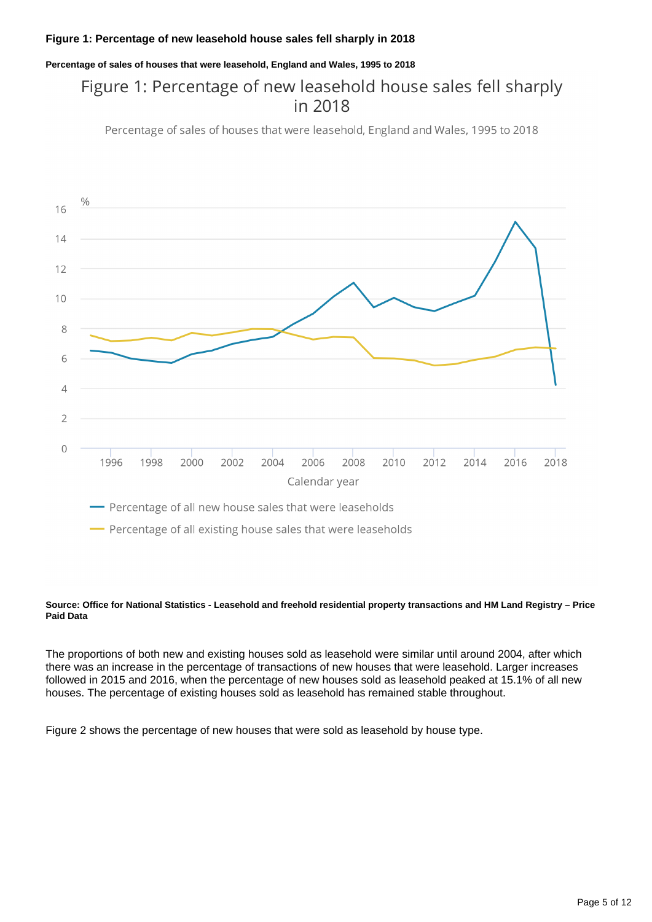#### **Figure 1: Percentage of new leasehold house sales fell sharply in 2018**

**Percentage of sales of houses that were leasehold, England and Wales, 1995 to 2018**

### Figure 1: Percentage of new leasehold house sales fell sharply in 2018

Percentage of sales of houses that were leasehold, England and Wales, 1995 to 2018



- Percentage of all existing house sales that were leaseholds

#### **Source: Office for National Statistics - Leasehold and freehold residential property transactions and HM Land Registry – Price Paid Data**

The proportions of both new and existing houses sold as leasehold were similar until around 2004, after which there was an increase in the percentage of transactions of new houses that were leasehold. Larger increases followed in 2015 and 2016, when the percentage of new houses sold as leasehold peaked at 15.1% of all new houses. The percentage of existing houses sold as leasehold has remained stable throughout.

Figure 2 shows the percentage of new houses that were sold as leasehold by house type.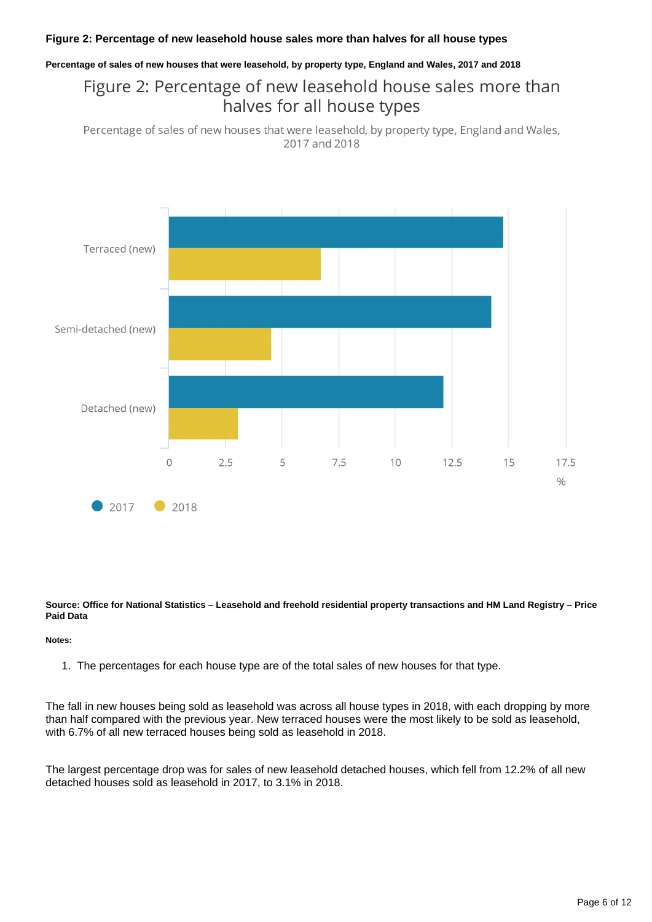#### **Figure 2: Percentage of new leasehold house sales more than halves for all house types**

#### **Percentage of sales of new houses that were leasehold, by property type, England and Wales, 2017 and 2018**

### Figure 2: Percentage of new leasehold house sales more than halves for all house types

Percentage of sales of new houses that were leasehold, by property type, England and Wales, 2017 and 2018



**Source: Office for National Statistics – Leasehold and freehold residential property transactions and HM Land Registry – Price Paid Data**

#### **Notes:**

1. The percentages for each house type are of the total sales of new houses for that type.

The fall in new houses being sold as leasehold was across all house types in 2018, with each dropping by more than half compared with the previous year. New terraced houses were the most likely to be sold as leasehold, with 6.7% of all new terraced houses being sold as leasehold in 2018.

The largest percentage drop was for sales of new leasehold detached houses, which fell from 12.2% of all new detached houses sold as leasehold in 2017, to 3.1% in 2018.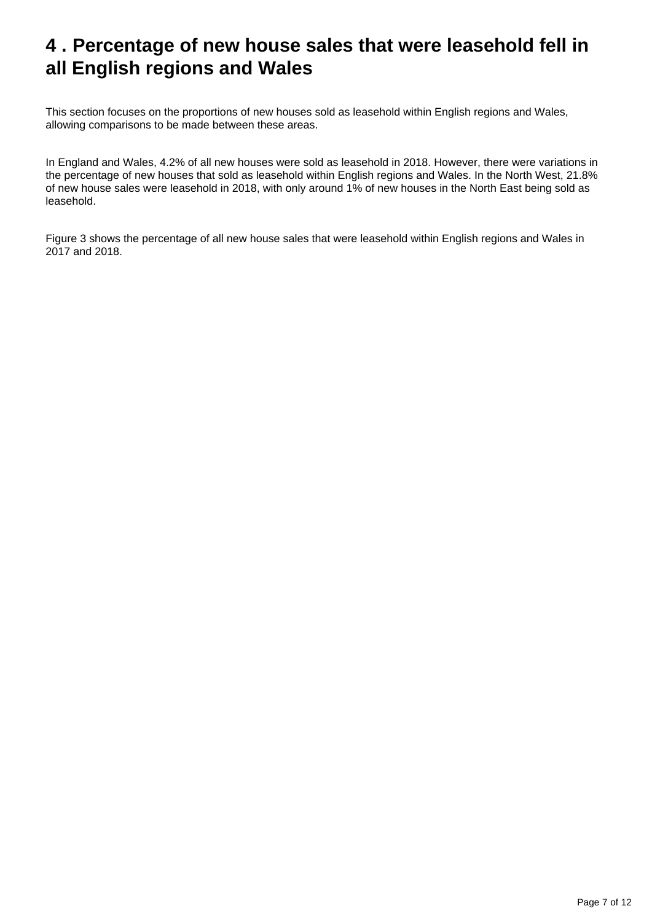# <span id="page-6-0"></span>**4 . Percentage of new house sales that were leasehold fell in all English regions and Wales**

This section focuses on the proportions of new houses sold as leasehold within English regions and Wales, allowing comparisons to be made between these areas.

In England and Wales, 4.2% of all new houses were sold as leasehold in 2018. However, there were variations in the percentage of new houses that sold as leasehold within English regions and Wales. In the North West, 21.8% of new house sales were leasehold in 2018, with only around 1% of new houses in the North East being sold as leasehold.

Figure 3 shows the percentage of all new house sales that were leasehold within English regions and Wales in 2017 and 2018.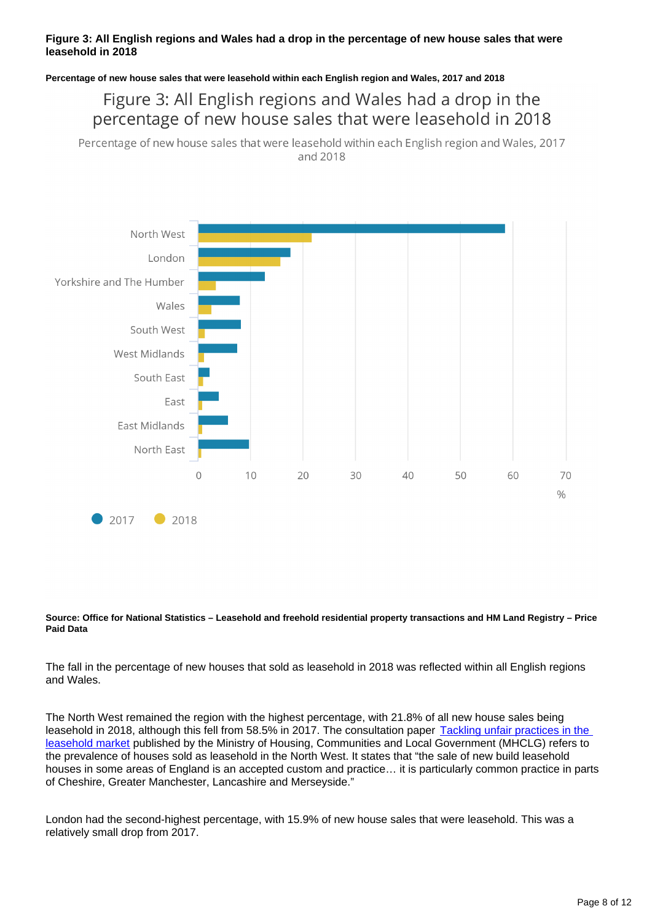#### **Figure 3: All English regions and Wales had a drop in the percentage of new house sales that were leasehold in 2018**

**Percentage of new house sales that were leasehold within each English region and Wales, 2017 and 2018**

### Figure 3: All English regions and Wales had a drop in the percentage of new house sales that were leasehold in 2018

Percentage of new house sales that were leasehold within each English region and Wales, 2017 and 2018



#### **Source: Office for National Statistics – Leasehold and freehold residential property transactions and HM Land Registry – Price Paid Data**

The fall in the percentage of new houses that sold as leasehold in 2018 was reflected within all English regions and Wales.

The North West remained the region with the highest percentage, with 21.8% of all new house sales being leasehold in 2018, although this fell from 58.5% in 2017. The consultation paper Tackling unfair practices in the [leasehold market](https://assets.publishing.service.gov.uk/government/uploads/system/uploads/attachment_data/file/632108/Tackling_unfair_practices_in_the_leasehold_market.pdf) published by the Ministry of Housing, Communities and Local Government (MHCLG) refers to the prevalence of houses sold as leasehold in the North West. It states that "the sale of new build leasehold houses in some areas of England is an accepted custom and practice… it is particularly common practice in parts of Cheshire, Greater Manchester, Lancashire and Merseyside."

London had the second-highest percentage, with 15.9% of new house sales that were leasehold. This was a relatively small drop from 2017.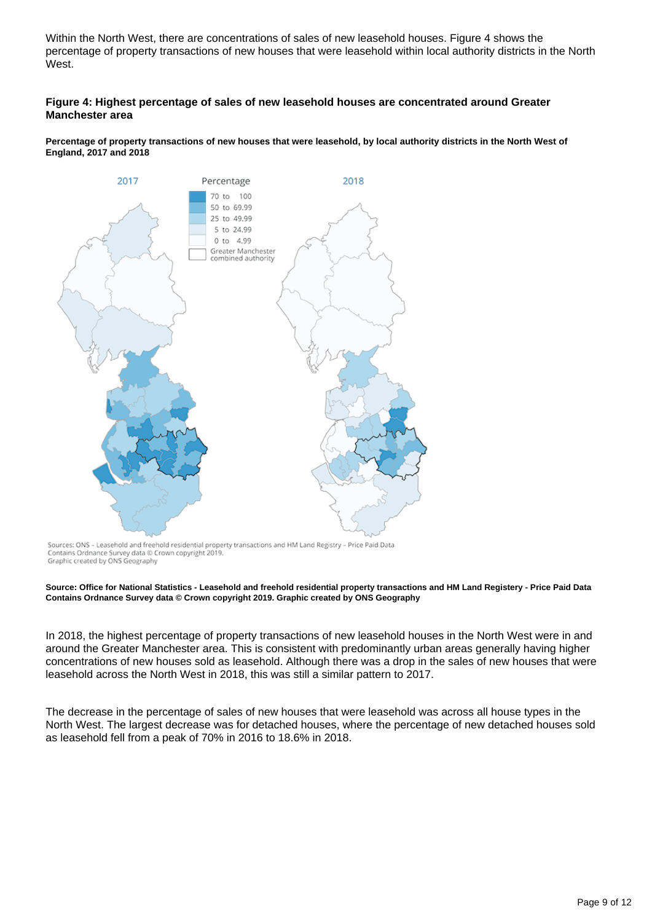Within the North West, there are concentrations of sales of new leasehold houses. Figure 4 shows the percentage of property transactions of new houses that were leasehold within local authority districts in the North West.

#### **Figure 4: Highest percentage of sales of new leasehold houses are concentrated around Greater Manchester area**

**Percentage of property transactions of new houses that were leasehold, by local authority districts in the North West of England, 2017 and 2018**



Sources: ONS - Leasehold and freehold residential property transactions and HM Land Registry - Price Paid Data Contains Ordnance Survey data @ Crown copyright 2019. Graphic created by ONS Geography

#### **Source: Office for National Statistics - Leasehold and freehold residential property transactions and HM Land Registery - Price Paid Data Contains Ordnance Survey data © Crown copyright 2019. Graphic created by ONS Geography**

In 2018, the highest percentage of property transactions of new leasehold houses in the North West were in and around the Greater Manchester area. This is consistent with predominantly urban areas generally having higher concentrations of new houses sold as leasehold. Although there was a drop in the sales of new houses that were leasehold across the North West in 2018, this was still a similar pattern to 2017.

The decrease in the percentage of sales of new houses that were leasehold was across all house types in the North West. The largest decrease was for detached houses, where the percentage of new detached houses sold as leasehold fell from a peak of 70% in 2016 to 18.6% in 2018.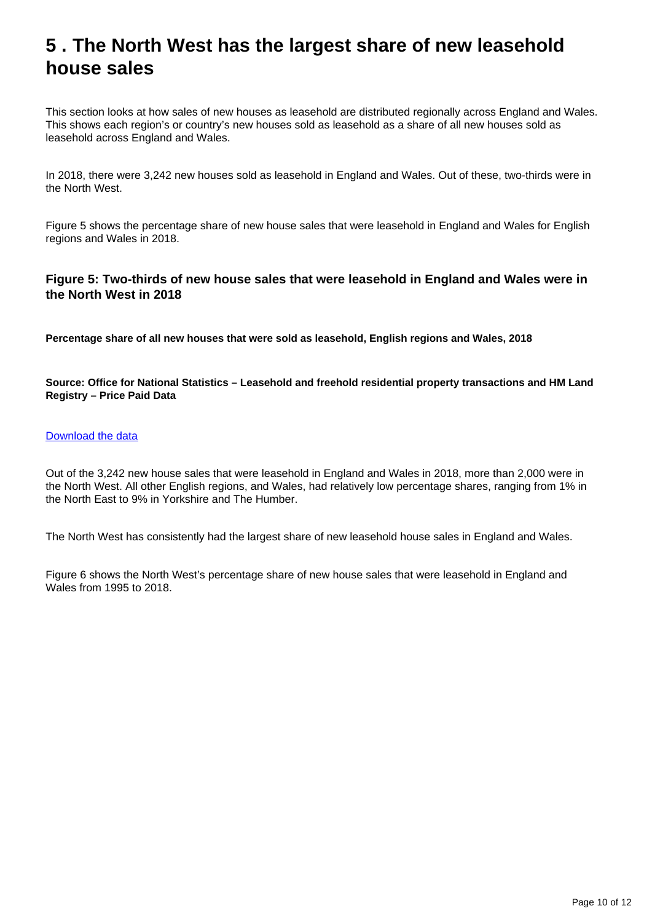# <span id="page-9-0"></span>**5 . The North West has the largest share of new leasehold house sales**

This section looks at how sales of new houses as leasehold are distributed regionally across England and Wales. This shows each region's or country's new houses sold as leasehold as a share of all new houses sold as leasehold across England and Wales.

In 2018, there were 3,242 new houses sold as leasehold in England and Wales. Out of these, two-thirds were in the North West.

Figure 5 shows the percentage share of new house sales that were leasehold in England and Wales for English regions and Wales in 2018.

#### **Figure 5: Two-thirds of new house sales that were leasehold in England and Wales were in the North West in 2018**

**Percentage share of all new houses that were sold as leasehold, English regions and Wales, 2018**

**Source: Office for National Statistics – Leasehold and freehold residential property transactions and HM Land Registry – Price Paid Data**

#### [Download the data](https://www.ons.gov.uk/visualisations/dvc656/data.csv)

Out of the 3,242 new house sales that were leasehold in England and Wales in 2018, more than 2,000 were in the North West. All other English regions, and Wales, had relatively low percentage shares, ranging from 1% in the North East to 9% in Yorkshire and The Humber.

The North West has consistently had the largest share of new leasehold house sales in England and Wales.

Figure 6 shows the North West's percentage share of new house sales that were leasehold in England and Wales from 1995 to 2018.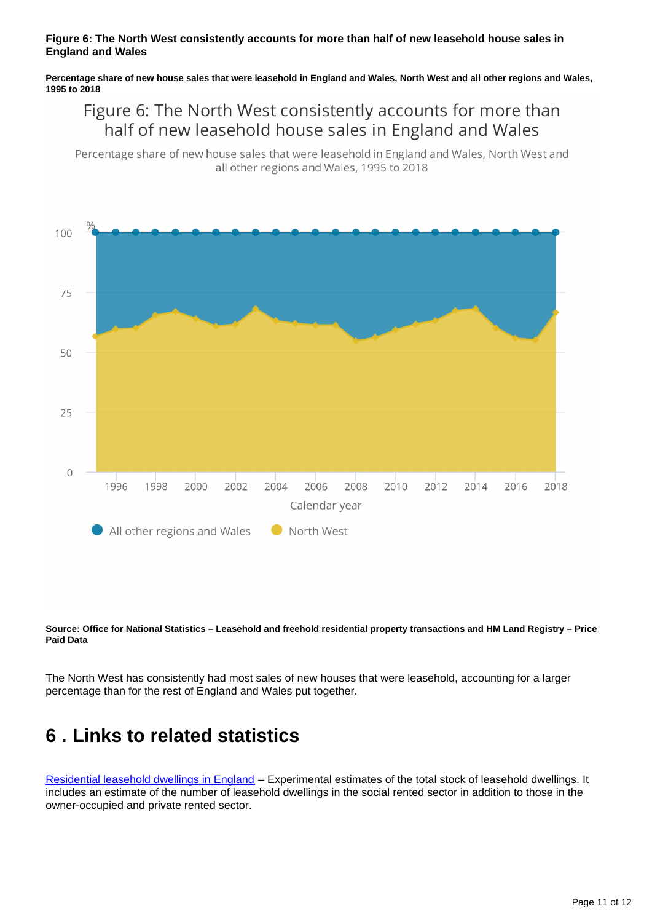#### **Figure 6: The North West consistently accounts for more than half of new leasehold house sales in England and Wales**

**Percentage share of new house sales that were leasehold in England and Wales, North West and all other regions and Wales, 1995 to 2018**

### Figure 6: The North West consistently accounts for more than half of new leasehold house sales in England and Wales

Percentage share of new house sales that were leasehold in England and Wales, North West and all other regions and Wales, 1995 to 2018



**Source: Office for National Statistics – Leasehold and freehold residential property transactions and HM Land Registry – Price Paid Data**

The North West has consistently had most sales of new houses that were leasehold, accounting for a larger percentage than for the rest of England and Wales put together.

### <span id="page-10-0"></span>**6 . Links to related statistics**

[Residential leasehold dwellings in England](https://www.gov.uk/government/collections/leasehold-dwellings) – Experimental estimates of the total stock of leasehold dwellings. It includes an estimate of the number of leasehold dwellings in the social rented sector in addition to those in the owner-occupied and private rented sector.